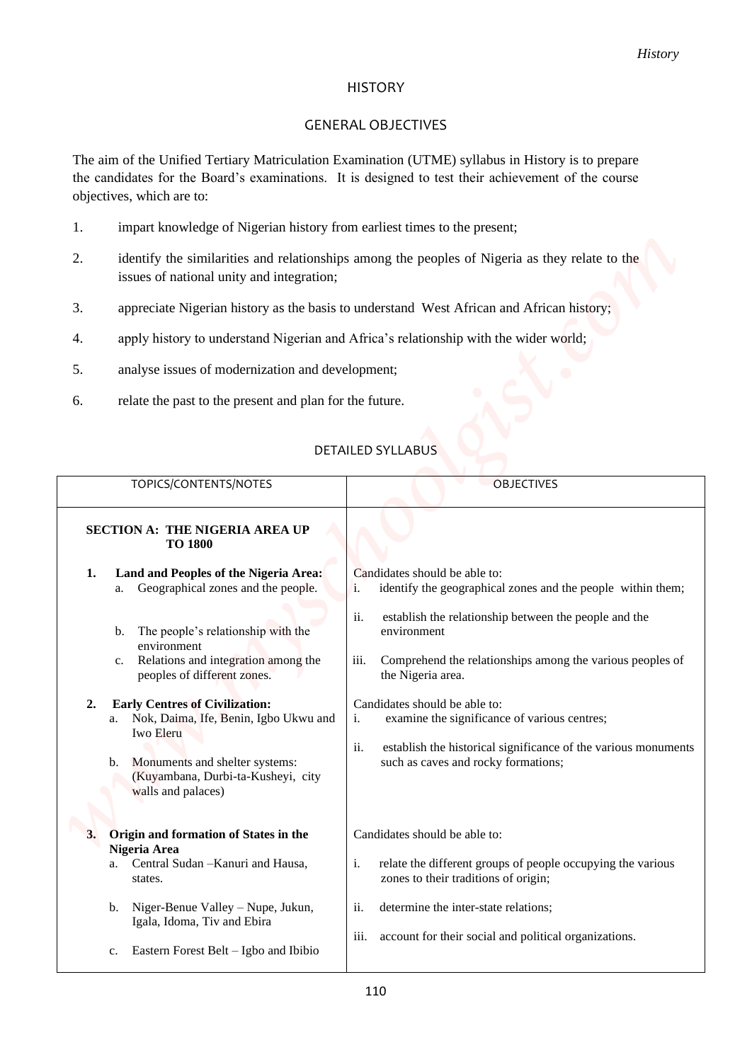#### HISTORY

## GENERAL OBJECTIVES

- 1. impart knowledge of Nigerian history from earliest times to the present;
- 2. identify the similarities and relationships among the peoples of Nigeria as they relate to the issues of national unity and integration;
- 3. appreciate Nigerian history as the basis to understand West African and African history;
- 4. apply history to understand Nigerian and Africa's relationship with the wider world;
- 5. analyse issues of modernization and development;
- 6. relate the past to the present and plan for the future.

### DETAILED SYLLABUS

|    |                                                                                                  | <b>History</b>                                                                                                                                                                                            |  |
|----|--------------------------------------------------------------------------------------------------|-----------------------------------------------------------------------------------------------------------------------------------------------------------------------------------------------------------|--|
|    |                                                                                                  | <b>HISTORY</b>                                                                                                                                                                                            |  |
|    |                                                                                                  | <b>GENERAL OBJECTIVES</b>                                                                                                                                                                                 |  |
|    | objectives, which are to:                                                                        | The aim of the Unified Tertiary Matriculation Examination (UTME) syllabus in History is to prepare<br>the candidates for the Board's examinations. It is designed to test their achievement of the course |  |
| 1. | impart knowledge of Nigerian history from earliest times to the present;                         |                                                                                                                                                                                                           |  |
| 2. | issues of national unity and integration;                                                        | identify the similarities and relationships among the peoples of Nigeria as they relate to the                                                                                                            |  |
| 3. |                                                                                                  | appreciate Nigerian history as the basis to understand West African and African history;                                                                                                                  |  |
| 4. |                                                                                                  | apply history to understand Nigerian and Africa's relationship with the wider world;                                                                                                                      |  |
| 5. | analyse issues of modernization and development;                                                 |                                                                                                                                                                                                           |  |
| 6. | relate the past to the present and plan for the future.                                          |                                                                                                                                                                                                           |  |
|    | TOPICS/CONTENTS/NOTES                                                                            | DETAILED SYLLABUS<br><b>OBJECTIVES</b>                                                                                                                                                                    |  |
|    | SECTION A: THE NIGERIA AREA UP<br><b>TO 1800</b>                                                 |                                                                                                                                                                                                           |  |
| 1. | Land and Peoples of the Nigeria Area:<br>Geographical zones and the people.<br>а.                | Candidates should be able to:<br>identify the geographical zones and the people within them;<br>i.                                                                                                        |  |
|    | The people's relationship with the<br>b.<br>environment                                          | ii.<br>establish the relationship between the people and the<br>environment                                                                                                                               |  |
|    | Relations and integration among the<br>c.<br>peoples of different zones.                         | iii.<br>Comprehend the relationships among the various peoples of<br>the Nigeria area.                                                                                                                    |  |
| 2. | <b>Early Centres of Civilization:</b><br>a. Nok, Daima, Ife, Benin, Igbo Ukwu and<br>Iwo Eleru   | Candidates should be able to:<br>examine the significance of various centres;<br>i.<br>ii.<br>establish the historical significance of the various monuments                                              |  |
|    | Monuments and shelter systems:<br>b.<br>(Kuyambana, Durbi-ta-Kusheyi, city<br>walls and palaces) | such as caves and rocky formations;                                                                                                                                                                       |  |
|    | 3. Origin and formation of States in the                                                         | Candidates should be able to:                                                                                                                                                                             |  |
|    | Nigeria Area<br>Central Sudan - Kanuri and Hausa,<br>a.<br>states.                               | relate the different groups of people occupying the various<br>i.<br>zones to their traditions of origin;                                                                                                 |  |
|    | Niger-Benue Valley - Nupe, Jukun,<br>b.<br>Igala, Idoma, Tiv and Ebira                           | ii.<br>determine the inter-state relations;                                                                                                                                                               |  |
|    | Eastern Forest Belt - Igbo and Ibibio<br>c.                                                      | account for their social and political organizations.<br>111.                                                                                                                                             |  |
|    |                                                                                                  |                                                                                                                                                                                                           |  |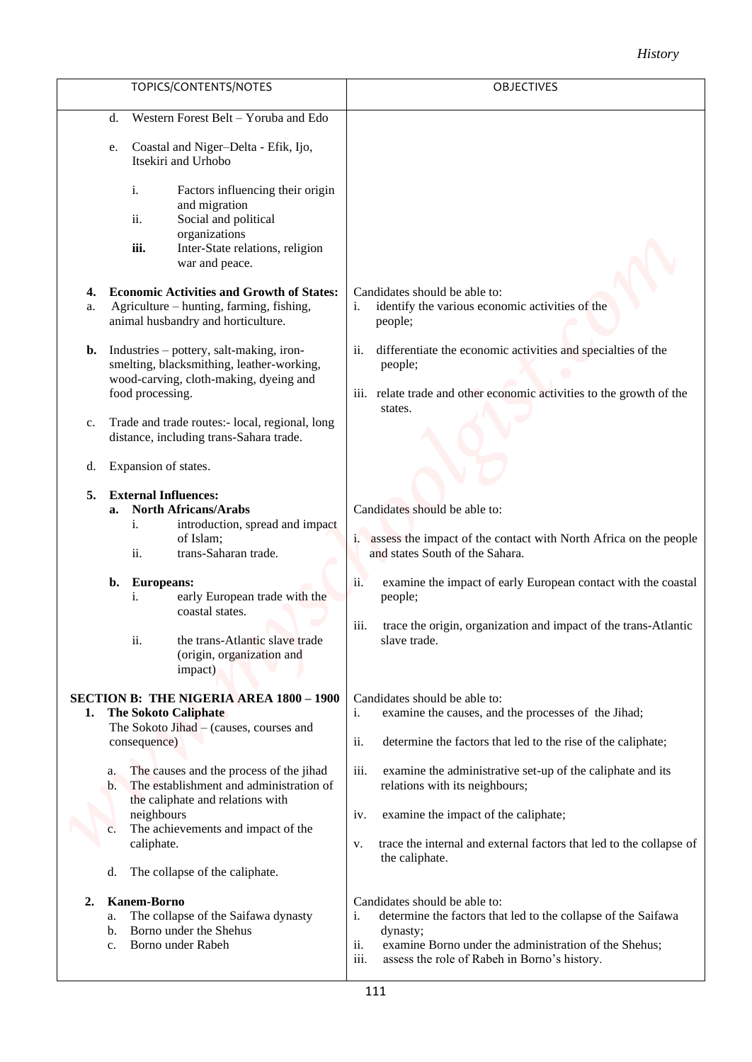# *History*

|          |                                                                                        |                                                                                                                                                                                                                                   |                           | <b>History</b>                                                                                                                                                                                                                                                                                         |
|----------|----------------------------------------------------------------------------------------|-----------------------------------------------------------------------------------------------------------------------------------------------------------------------------------------------------------------------------------|---------------------------|--------------------------------------------------------------------------------------------------------------------------------------------------------------------------------------------------------------------------------------------------------------------------------------------------------|
|          |                                                                                        | TOPICS/CONTENTS/NOTES                                                                                                                                                                                                             |                           | <b>OBJECTIVES</b>                                                                                                                                                                                                                                                                                      |
|          | d.                                                                                     | Western Forest Belt - Yoruba and Edo                                                                                                                                                                                              |                           |                                                                                                                                                                                                                                                                                                        |
|          | e.                                                                                     | Coastal and Niger-Delta - Efik, Ijo,<br>Itsekiri and Urhobo                                                                                                                                                                       |                           |                                                                                                                                                                                                                                                                                                        |
|          | i.<br>ii.<br>iii.                                                                      | Factors influencing their origin<br>and migration<br>Social and political<br>organizations<br>Inter-State relations, religion<br>war and peace.                                                                                   |                           |                                                                                                                                                                                                                                                                                                        |
| 4.<br>a. |                                                                                        | <b>Economic Activities and Growth of States:</b><br>Agriculture – hunting, farming, fishing,<br>animal husbandry and horticulture.                                                                                                | $\mathbf{i}$ .            | Candidates should be able to:<br>identify the various economic activities of the<br>people;                                                                                                                                                                                                            |
| b.       | food processing.                                                                       | Industries – pottery, salt-making, iron-<br>smelting, blacksmithing, leather-working,<br>wood-carving, cloth-making, dyeing and                                                                                                   | ii.<br>$\overline{111}$ . | differentiate the economic activities and specialties of the<br>people;<br>relate trade and other economic activities to the growth of the<br>states.                                                                                                                                                  |
| c.       |                                                                                        | Trade and trade routes:- local, regional, long<br>distance, including trans-Sahara trade.                                                                                                                                         |                           |                                                                                                                                                                                                                                                                                                        |
| d.       | Expansion of states.                                                                   |                                                                                                                                                                                                                                   |                           |                                                                                                                                                                                                                                                                                                        |
| 5.       | <b>External Influences:</b><br>a.<br>i.<br>ii.<br><b>Europeans:</b><br>b.<br>i.<br>ii. | <b>North Africans/Arabs</b><br>introduction, spread and impact<br>of Islam;<br>trans-Saharan trade.<br>early European trade with the<br>coastal states.<br>the trans-Atlantic slave trade<br>(origin, organization and<br>impact) | ii.<br>iii.               | Candidates should be able to:<br>i. assess the impact of the contact with North Africa on the people<br>and states South of the Sahara.<br>examine the impact of early European contact with the coastal<br>people;<br>trace the origin, organization and impact of the trans-Atlantic<br>slave trade. |
| 1.       | consequence)                                                                           | <b>SECTION B: THE NIGERIA AREA 1800 - 1900</b><br><b>The Sokoto Caliphate</b><br>The Sokoto Jihad - (causes, courses and                                                                                                          | i.<br>ii.                 | Candidates should be able to:<br>examine the causes, and the processes of the Jihad;<br>determine the factors that led to the rise of the caliphate;                                                                                                                                                   |
|          | a.<br>$\mathbf{b}$ .<br>neighbours<br>$\mathbf{c}$ .<br>caliphate.<br>d.               | The causes and the process of the jihad<br>The establishment and administration of<br>the caliphate and relations with<br>The achievements and impact of the<br>The collapse of the caliphate.                                    | iii.<br>iv.<br>V.         | examine the administrative set-up of the caliphate and its<br>relations with its neighbours;<br>examine the impact of the caliphate;<br>trace the internal and external factors that led to the collapse of<br>the caliphate.                                                                          |
| 2.       | <b>Kanem-Borno</b><br>a.<br>b.<br>$C_{\star}$                                          | The collapse of the Saifawa dynasty<br>Borno under the Shehus<br>Borno under Rabeh                                                                                                                                                | i.<br>ii.<br>iii.         | Candidates should be able to:<br>determine the factors that led to the collapse of the Saifawa<br>dynasty;<br>examine Borno under the administration of the Shehus;<br>assess the role of Rabeh in Borno's history.                                                                                    |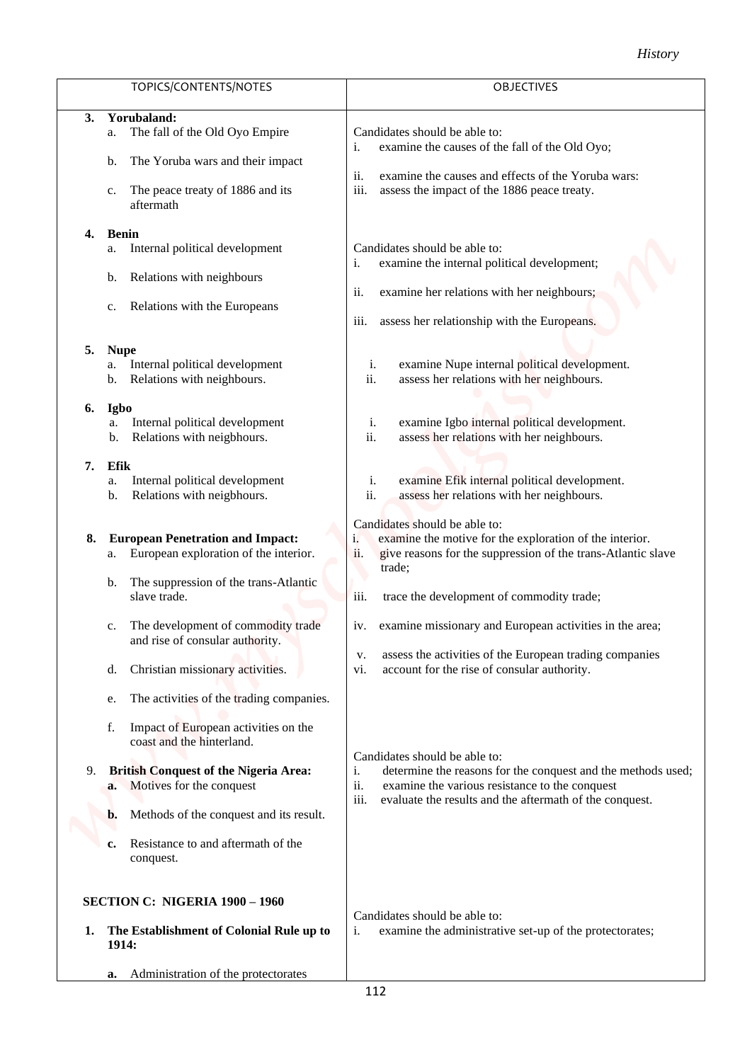|                                                                                                                                                                                                                                                                           | <b>History</b>                                                                                                                                                                                                                       |
|---------------------------------------------------------------------------------------------------------------------------------------------------------------------------------------------------------------------------------------------------------------------------|--------------------------------------------------------------------------------------------------------------------------------------------------------------------------------------------------------------------------------------|
| TOPICS/CONTENTS/NOTES                                                                                                                                                                                                                                                     | OBJECTIVES                                                                                                                                                                                                                           |
| Yorubaland:<br>3.<br>The fall of the Old Oyo Empire<br>a.<br>The Yoruba wars and their impact<br>b.<br>The peace treaty of 1886 and its<br>c.<br>aftermath                                                                                                                | Candidates should be able to:<br>examine the causes of the fall of the Old Oyo;<br>i.<br>examine the causes and effects of the Yoruba wars:<br><i>ii.</i><br>iii.<br>assess the impact of the 1886 peace treaty.                     |
| <b>Benin</b><br>4.<br>Internal political development<br>a.<br>Relations with neighbours<br>b.<br>Relations with the Europeans<br>5.<br><b>Nupe</b>                                                                                                                        | Candidates should be able to:<br>examine the internal political development;<br>i.<br>examine her relations with her neighbours;<br>ii.<br>assess her relationship with the Europeans.<br>iii.                                       |
| Internal political development<br>a.<br>Relations with neighbours.<br>b.<br><b>Igbo</b><br>6.<br>Internal political development<br>a.<br>Relations with neigbhours.<br>b.                                                                                                 | examine Nupe internal political development.<br>i.<br>ii.<br>assess her relations with her neighbours.<br>examine Igbo internal political development.<br>i.<br>ii.<br>assess her relations with her neighbours.                     |
| Efik<br>7.<br>Internal political development<br>a.<br>Relations with neigbhours.<br>b.                                                                                                                                                                                    | examine Efik internal political development.<br>i.<br>ii.<br>assess her relations with her neighbours.                                                                                                                               |
| <b>European Penetration and Impact:</b><br>8.<br>European exploration of the interior.<br>a.<br>The suppression of the trans-Atlantic<br>b.<br>slave trade.                                                                                                               | Candidates should be able to:<br>examine the motive for the exploration of the interior.<br>1.<br>ii.<br>give reasons for the suppression of the trans-Atlantic slave<br>trade;<br>trace the development of commodity trade;<br>iii. |
| The development of commodity trade<br>c.<br>and rise of consular authority.<br>Christian missionary activities.<br>d.<br>The activities of the trading companies.<br>e.                                                                                                   | examine missionary and European activities in the area;<br>iv.<br>assess the activities of the European trading companies<br>V.<br>account for the rise of consular authority.<br>vi.                                                |
| Impact of European activities on the<br>f.<br>coast and the hinterland.<br><b>British Conquest of the Nigeria Area:</b><br>9.<br>Motives for the conquest<br>a.<br>Methods of the conquest and its result.<br>b.<br>Resistance to and aftermath of the<br>c.<br>conquest. | Candidates should be able to:<br>determine the reasons for the conquest and the methods used;<br>i.<br>ii.<br>examine the various resistance to the conquest<br>iii.<br>evaluate the results and the aftermath of the conquest.      |
| <b>SECTION C: NIGERIA 1900 - 1960</b><br>The Establishment of Colonial Rule up to<br>1.<br>1914:                                                                                                                                                                          | Candidates should be able to:<br>examine the administrative set-up of the protectorates;<br>i.                                                                                                                                       |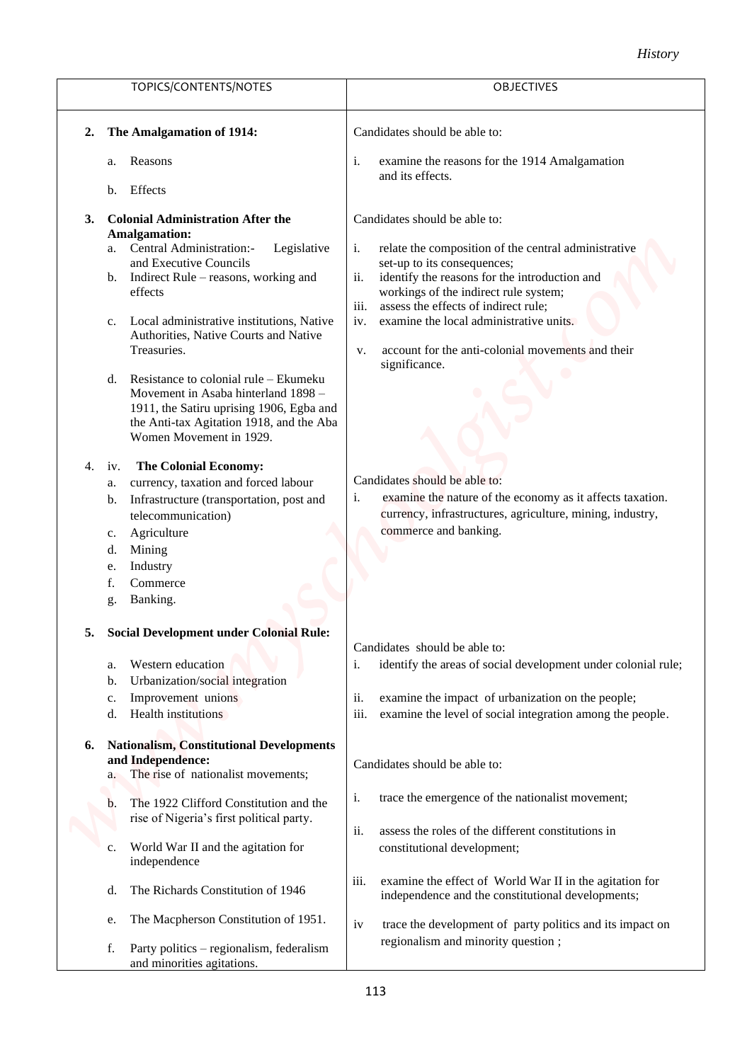|                                                                                          | <b>History</b>                                                                        |
|------------------------------------------------------------------------------------------|---------------------------------------------------------------------------------------|
| TOPICS/CONTENTS/NOTES                                                                    | <b>OBJECTIVES</b>                                                                     |
| The Amalgamation of 1914:<br>2.                                                          | Candidates should be able to:                                                         |
| Reasons<br>a.                                                                            | examine the reasons for the 1914 Amalgamation<br>i.<br>and its effects.               |
| Effects<br>b.                                                                            |                                                                                       |
| <b>Colonial Administration After the</b><br>3.<br><b>Amalgamation:</b>                   | Candidates should be able to:                                                         |
| a. Central Administration:-<br>Legislative                                               | relate the composition of the central administrative<br>i.                            |
| and Executive Councils                                                                   | set-up to its consequences;                                                           |
| b. Indirect Rule – reasons, working and                                                  | ii.<br>identify the reasons for the introduction and                                  |
| effects                                                                                  | workings of the indirect rule system;<br>iii.<br>assess the effects of indirect rule; |
| Local administrative institutions, Native<br>$c_{\cdot}$                                 | examine the local administrative units.<br>iv.                                        |
| Authorities, Native Courts and Native                                                    |                                                                                       |
| Treasuries.                                                                              | account for the anti-colonial movements and their<br>V.                               |
|                                                                                          | significance.                                                                         |
| Resistance to colonial rule – Ekumeku<br>d.<br>Movement in Asaba hinterland 1898 -       |                                                                                       |
| 1911, the Satiru uprising 1906, Egba and                                                 |                                                                                       |
| the Anti-tax Agitation 1918, and the Aba                                                 |                                                                                       |
| Women Movement in 1929.                                                                  |                                                                                       |
| <b>The Colonial Economy:</b><br>4.<br>iv.                                                |                                                                                       |
| currency, taxation and forced labour<br>a.                                               | Candidates should be able to:                                                         |
| Infrastructure (transportation, post and<br>b.                                           | i.<br>examine the nature of the economy as it affects taxation.                       |
| telecommunication)                                                                       | currency, infrastructures, agriculture, mining, industry,                             |
| Agriculture                                                                              | commerce and banking.                                                                 |
| Mining<br>d.                                                                             |                                                                                       |
| Industry<br>e.                                                                           |                                                                                       |
| Commerce<br>f.                                                                           |                                                                                       |
| Banking.<br>g.                                                                           |                                                                                       |
| <b>Social Development under Colonial Rule:</b><br>5.                                     |                                                                                       |
|                                                                                          | Candidates should be able to:                                                         |
| Western education<br>a.                                                                  | identify the areas of social development under colonial rule;<br>i.                   |
| Urbanization/social integration<br>$\mathbf b$ .                                         |                                                                                       |
| Improvement unions<br>c.                                                                 | examine the impact of urbanization on the people;<br>ii.                              |
| <b>Health</b> institutions<br>d.                                                         | examine the level of social integration among the people.<br>iii.                     |
| <b>Nationalism, Constitutional Developments</b><br>6.                                    |                                                                                       |
| and Independence:                                                                        | Candidates should be able to:                                                         |
| The rise of nationalist movements;                                                       |                                                                                       |
|                                                                                          | trace the emergence of the nationalist movement;<br>i.                                |
| The 1922 Clifford Constitution and the<br>b.<br>rise of Nigeria's first political party. |                                                                                       |
|                                                                                          | ii.<br>assess the roles of the different constitutions in                             |
| World War II and the agitation for<br>c.                                                 | constitutional development;                                                           |
| independence                                                                             |                                                                                       |
|                                                                                          | examine the effect of World War II in the agitation for<br>iii.                       |
| The Richards Constitution of 1946<br>d.                                                  | independence and the constitutional developments;                                     |
| The Macpherson Constitution of 1951.<br>e.                                               | trace the development of party politics and its impact on<br>iv                       |
|                                                                                          | regionalism and minority question;                                                    |
| Party politics - regionalism, federalism<br>f.<br>and minorities agitations.             |                                                                                       |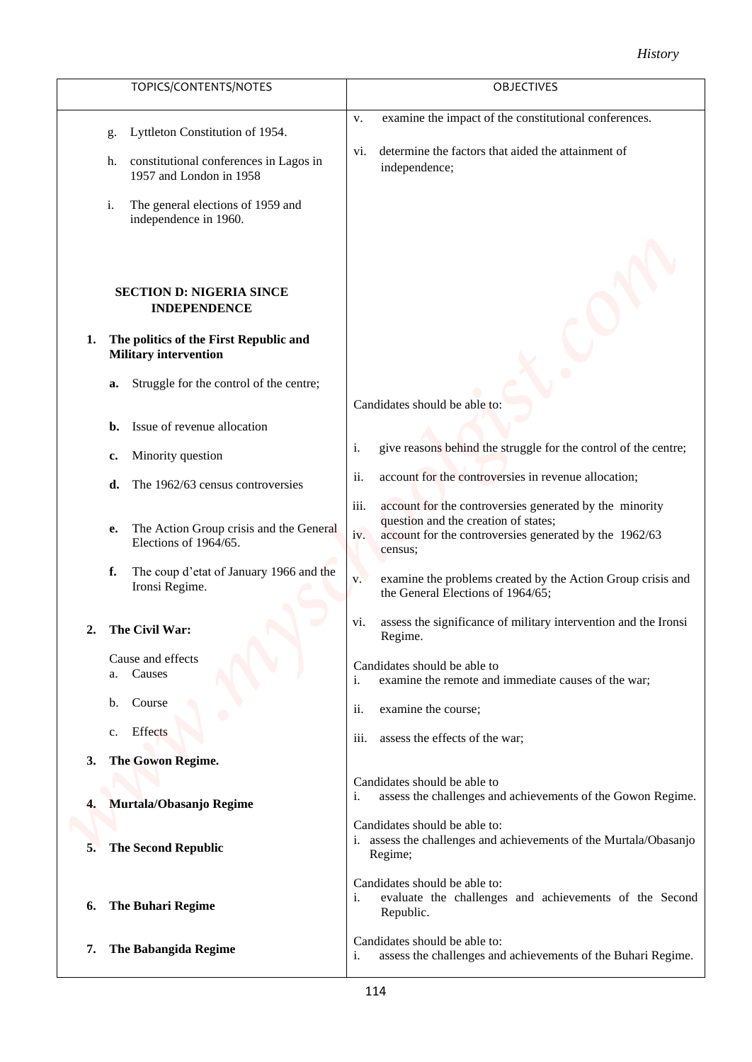| TOPICS/CONTENTS/NOTES<br><b>OBJECTIVES</b>                                                                                                                                                                                                                    |
|---------------------------------------------------------------------------------------------------------------------------------------------------------------------------------------------------------------------------------------------------------------|
|                                                                                                                                                                                                                                                               |
| examine the impact of the constitutional conferences.<br>V.<br>Lyttleton Constitution of 1954.<br>g.                                                                                                                                                          |
| determine the factors that aided the attainment of<br>V1.<br>constitutional conferences in Lagos in<br>h.<br>independence;<br>1957 and London in 1958                                                                                                         |
| The general elections of 1959 and<br>i.<br>independence in 1960.                                                                                                                                                                                              |
| <b>SECTION D: NIGERIA SINCE</b><br><b>INDEPENDENCE</b>                                                                                                                                                                                                        |
| The politics of the First Republic and<br>1.<br><b>Military intervention</b>                                                                                                                                                                                  |
| Struggle for the control of the centre;<br>a.<br>Candidates should be able to:                                                                                                                                                                                |
| Issue of revenue allocation<br>b.                                                                                                                                                                                                                             |
| give reasons behind the struggle for the control of the centre;<br>i.<br>Minority question<br>c.                                                                                                                                                              |
| account for the controversies in revenue allocation;<br>ii.<br>The 1962/63 census controversies<br>d.                                                                                                                                                         |
| account for the controversies generated by the minority<br>iii.<br>question and the creation of states;<br>The Action Group crisis and the General<br>е.<br>iv.<br>account for the controversies generated by the 1962/63<br>Elections of 1964/65.<br>census; |
| The coup d'etat of January 1966 and the<br>f.<br>examine the problems created by the Action Group crisis and<br>V.<br>Ironsi Regime.<br>the General Elections of 1964/65;                                                                                     |
| assess the significance of military intervention and the Ironsi<br>VI.<br>The Civil War:<br>2.<br>Regime.                                                                                                                                                     |
| Cause and effects<br>Candidates should be able to<br>a. Causes<br>examine the remote and immediate causes of the war;<br>i.                                                                                                                                   |
| b. Course<br>ii.<br>examine the course;                                                                                                                                                                                                                       |
| c. Effects<br>assess the effects of the war;<br>iii.                                                                                                                                                                                                          |
| The Gowon Regime.<br>3.                                                                                                                                                                                                                                       |
| Candidates should be able to<br>assess the challenges and achievements of the Gowon Regime.<br>i.                                                                                                                                                             |
| Murtala/Obasanjo Regime<br>4.<br>Candidates should be able to:                                                                                                                                                                                                |
| i. assess the challenges and achievements of the Murtala/Obasanjo<br><b>The Second Republic</b><br>5.<br>Regime;                                                                                                                                              |
| Candidates should be able to:<br>evaluate the challenges and achievements of the Second<br>i.<br>The Buhari Regime<br>6.<br>Republic.                                                                                                                         |
| Candidates should be able to:<br>The Babangida Regime<br>7.<br>assess the challenges and achievements of the Buhari Regime.<br>i.                                                                                                                             |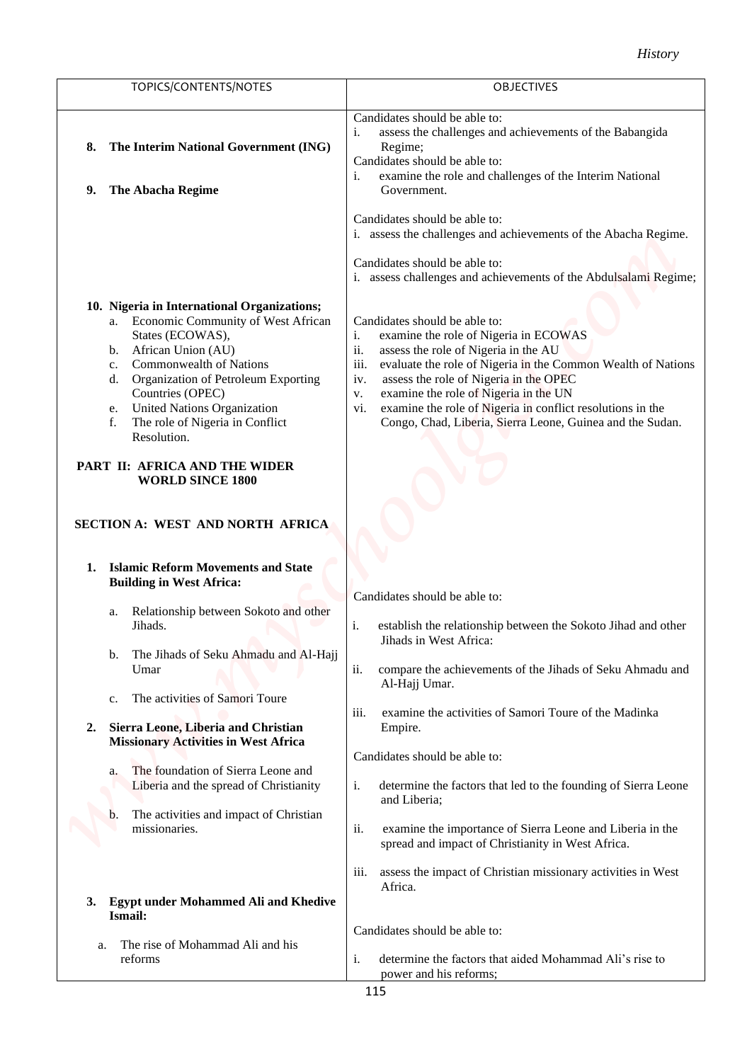|                                                                                                                                                                                                                                                                                                                                               | <b>History</b>                                                                                                                                                                                                                                                                                                                                                                                                                                                                                               |
|-----------------------------------------------------------------------------------------------------------------------------------------------------------------------------------------------------------------------------------------------------------------------------------------------------------------------------------------------|--------------------------------------------------------------------------------------------------------------------------------------------------------------------------------------------------------------------------------------------------------------------------------------------------------------------------------------------------------------------------------------------------------------------------------------------------------------------------------------------------------------|
| TOPICS/CONTENTS/NOTES                                                                                                                                                                                                                                                                                                                         | <b>OBJECTIVES</b>                                                                                                                                                                                                                                                                                                                                                                                                                                                                                            |
| The Interim National Government (ING)<br>8.<br>The Abacha Regime<br>9.                                                                                                                                                                                                                                                                        | Candidates should be able to:<br>i.<br>assess the challenges and achievements of the Babangida<br>Regime;<br>Candidates should be able to:<br>i.<br>examine the role and challenges of the Interim National<br>Government.                                                                                                                                                                                                                                                                                   |
|                                                                                                                                                                                                                                                                                                                                               | Candidates should be able to:<br>i. assess the challenges and achievements of the Abacha Regime.<br>Candidates should be able to:                                                                                                                                                                                                                                                                                                                                                                            |
| 10. Nigeria in International Organizations;<br>a. Economic Community of West African<br>States (ECOWAS),<br>b. African Union (AU)<br><b>Commonwealth of Nations</b><br>$\mathbf{c}$ .<br>d. Organization of Petroleum Exporting<br>Countries (OPEC)<br>e. United Nations Organization<br>The role of Nigeria in Conflict<br>f.<br>Resolution. | i. assess challenges and achievements of the Abdulsalami Regime;<br>Candidates should be able to:<br>$i$ .<br>examine the role of Nigeria in ECOWAS<br>ii.<br>assess the role of Nigeria in the AU<br>iii.<br>evaluate the role of Nigeria in the Common Wealth of Nations<br>assess the role of Nigeria in the OPEC<br>iv.<br>examine the role of Nigeria in the UN<br>V.<br>examine the role of Nigeria in conflict resolutions in the<br>vi.<br>Congo, Chad, Liberia, Sierra Leone, Guinea and the Sudan. |
| PART II: AFRICA AND THE WIDER<br><b>WORLD SINCE 1800</b><br>SECTION A: WEST AND NORTH AFRICA                                                                                                                                                                                                                                                  |                                                                                                                                                                                                                                                                                                                                                                                                                                                                                                              |
| <b>Islamic Reform Movements and State</b><br>1.<br><b>Building in West Africa:</b>                                                                                                                                                                                                                                                            |                                                                                                                                                                                                                                                                                                                                                                                                                                                                                                              |
| Relationship between Sokoto and other<br>a.<br>Jihads.                                                                                                                                                                                                                                                                                        | Candidates should be able to:<br>i.<br>establish the relationship between the Sokoto Jihad and other<br>Jihads in West Africa:                                                                                                                                                                                                                                                                                                                                                                               |
| The Jihads of Seku Ahmadu and Al-Hajj<br>b.<br>Umar                                                                                                                                                                                                                                                                                           | ii.<br>compare the achievements of the Jihads of Seku Ahmadu and<br>Al-Hajj Umar.                                                                                                                                                                                                                                                                                                                                                                                                                            |
| The activities of Samori Toure<br>c.<br>Sierra Leone, Liberia and Christian<br>2.<br><b>Missionary Activities in West Africa</b>                                                                                                                                                                                                              | iii.<br>examine the activities of Samori Toure of the Madinka<br>Empire.                                                                                                                                                                                                                                                                                                                                                                                                                                     |
| The foundation of Sierra Leone and<br>a.<br>Liberia and the spread of Christianity                                                                                                                                                                                                                                                            | Candidates should be able to:<br>determine the factors that led to the founding of Sierra Leone<br>i.<br>and Liberia;                                                                                                                                                                                                                                                                                                                                                                                        |
| The activities and impact of Christian<br>$\mathbf{b}$ .<br>missionaries.                                                                                                                                                                                                                                                                     | ii.<br>examine the importance of Sierra Leone and Liberia in the<br>spread and impact of Christianity in West Africa.                                                                                                                                                                                                                                                                                                                                                                                        |
| <b>Egypt under Mohammed Ali and Khedive</b><br>3.                                                                                                                                                                                                                                                                                             | assess the impact of Christian missionary activities in West<br>iii.<br>Africa.                                                                                                                                                                                                                                                                                                                                                                                                                              |
| Ismail:                                                                                                                                                                                                                                                                                                                                       | Candidates should be able to:                                                                                                                                                                                                                                                                                                                                                                                                                                                                                |
| The rise of Mohammad Ali and his<br>a.<br>reforms                                                                                                                                                                                                                                                                                             | determine the factors that aided Mohammad Ali's rise to<br>i.<br>power and his reforms;                                                                                                                                                                                                                                                                                                                                                                                                                      |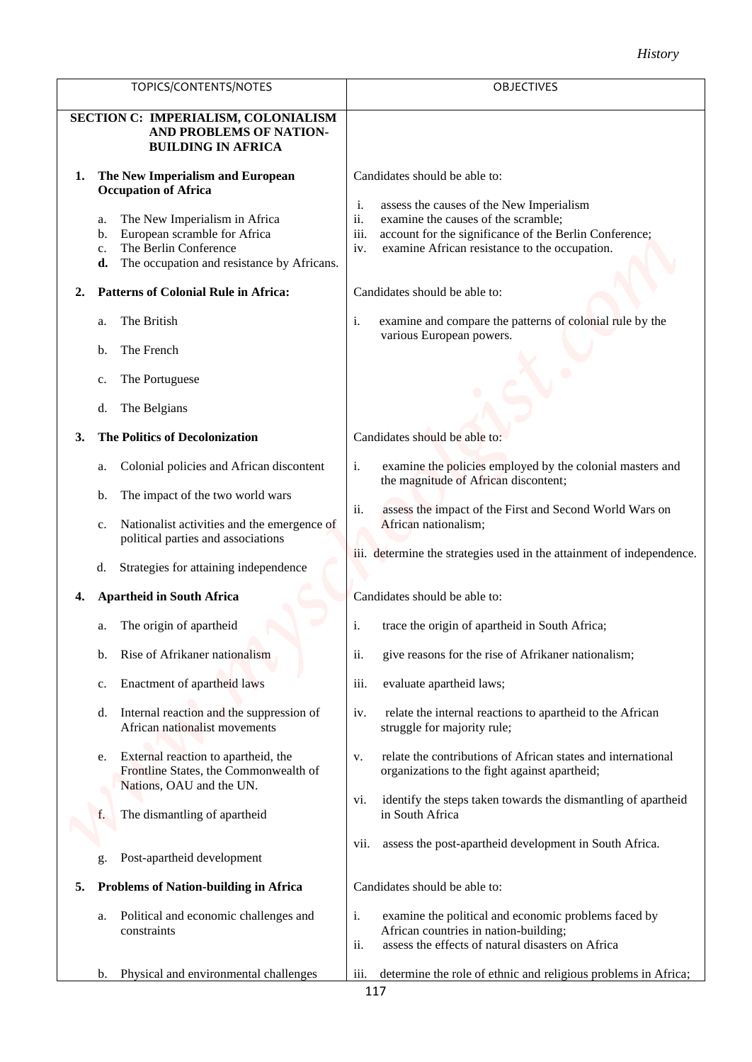|    |                                                                                                                                                                                                                                    | <b>History</b>                                                                                                                                                                                                                                                             |
|----|------------------------------------------------------------------------------------------------------------------------------------------------------------------------------------------------------------------------------------|----------------------------------------------------------------------------------------------------------------------------------------------------------------------------------------------------------------------------------------------------------------------------|
|    | TOPICS/CONTENTS/NOTES                                                                                                                                                                                                              | <b>OBJECTIVES</b>                                                                                                                                                                                                                                                          |
|    | SECTION C: IMPERIALISM, COLONIALISM<br>AND PROBLEMS OF NATION-<br><b>BUILDING IN AFRICA</b>                                                                                                                                        |                                                                                                                                                                                                                                                                            |
| 1. | The New Imperialism and European<br><b>Occupation of Africa</b><br>The New Imperialism in Africa<br>a.<br>European scramble for Africa<br>b.<br>The Berlin Conference<br>c.<br>The occupation and resistance by Africans.<br>d.    | Candidates should be able to:<br>assess the causes of the New Imperialism<br>i.<br>ii.<br>examine the causes of the scramble;<br>iii.<br>account for the significance of the Berlin Conference;<br>examine African resistance to the occupation.<br>iv.                    |
| 2. | <b>Patterns of Colonial Rule in Africa:</b>                                                                                                                                                                                        | Candidates should be able to:                                                                                                                                                                                                                                              |
|    | The British<br>a.<br>The French<br>b.<br>The Portuguese<br>c.<br>The Belgians<br>d.                                                                                                                                                | examine and compare the patterns of colonial rule by the<br>i.<br>various European powers.                                                                                                                                                                                 |
| 3. | <b>The Politics of Decolonization</b>                                                                                                                                                                                              | Candidates should be able to:                                                                                                                                                                                                                                              |
|    | Colonial policies and African discontent<br>a.<br>The impact of the two world wars<br>b.<br>Nationalist activities and the emergence of<br>c.<br>political parties and associations<br>Strategies for attaining independence<br>d. | i.<br>examine the policies employed by the colonial masters and<br>the magnitude of African discontent;<br>ii.<br>assess the impact of the First and Second World Wars on<br>African nationalism;<br>iii. determine the strategies used in the attainment of independence. |
| 4. | <b>Apartheid in South Africa</b>                                                                                                                                                                                                   | Candidates should be able to:                                                                                                                                                                                                                                              |
|    | The origin of apartheid<br>a.<br>Rise of Afrikaner nationalism<br>b.                                                                                                                                                               | i.<br>trace the origin of apartheid in South Africa;<br>ii.<br>give reasons for the rise of Afrikaner nationalism;                                                                                                                                                         |
|    | Enactment of apartheid laws<br>c.                                                                                                                                                                                                  | evaluate apartheid laws;<br>iii.                                                                                                                                                                                                                                           |
|    | Internal reaction and the suppression of<br>d.<br>African nationalist movements                                                                                                                                                    | relate the internal reactions to apartheid to the African<br>iv.<br>struggle for majority rule;                                                                                                                                                                            |
|    | External reaction to apartheid, the<br>e.<br>Frontline States, the Commonwealth of<br>Nations, OAU and the UN.                                                                                                                     | relate the contributions of African states and international<br>V.<br>organizations to the fight against apartheid;                                                                                                                                                        |
|    | The dismantling of apartheid<br>f.                                                                                                                                                                                                 | identify the steps taken towards the dismantling of apartheid<br>V1.<br>in South Africa<br>assess the post-apartheid development in South Africa.<br>V11.                                                                                                                  |
|    | Post-apartheid development<br>g                                                                                                                                                                                                    |                                                                                                                                                                                                                                                                            |
| 5. | <b>Problems of Nation-building in Africa</b>                                                                                                                                                                                       | Candidates should be able to:                                                                                                                                                                                                                                              |
|    | Political and economic challenges and<br>a.<br>constraints                                                                                                                                                                         | i.<br>examine the political and economic problems faced by<br>African countries in nation-building;<br>ii.<br>assess the effects of natural disasters on Africa                                                                                                            |
|    | Physical and environmental challenges<br>$\mathbf{b}$ .                                                                                                                                                                            | determine the role of ethnic and religious problems in Africa;<br><i>iii.</i>                                                                                                                                                                                              |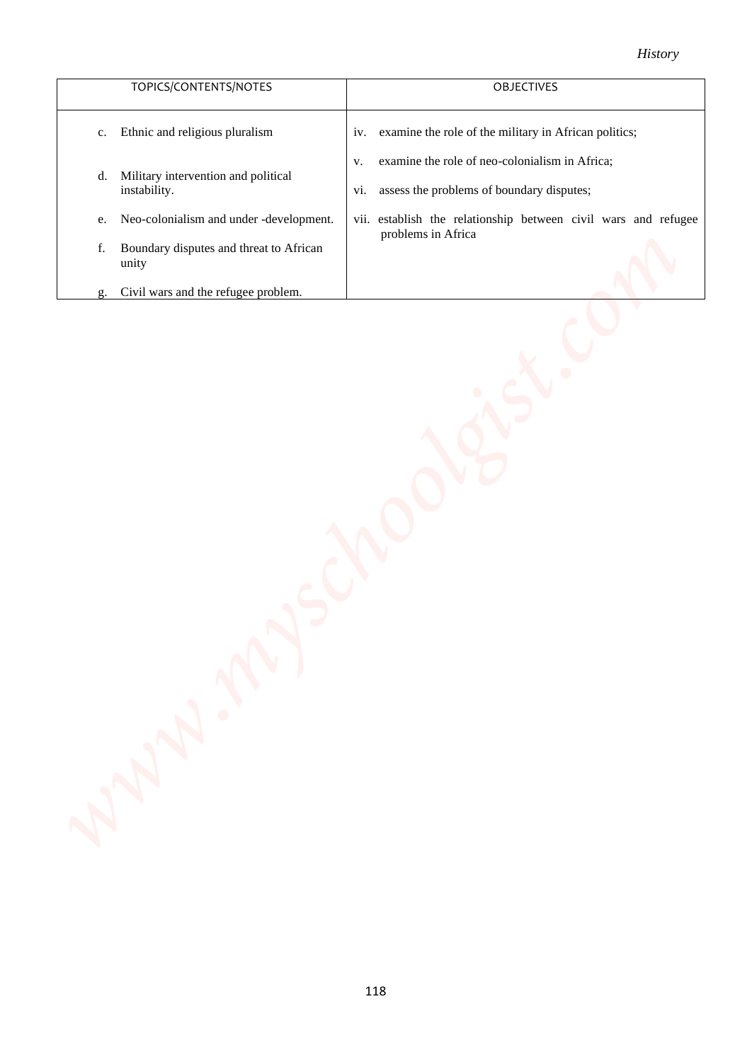| TOPICS/CONTENTS/NOTES                                     | <b>OBJECTIVES</b>                                                                                        |
|-----------------------------------------------------------|----------------------------------------------------------------------------------------------------------|
| Ethnic and religious pluralism<br>$C_{\star}$             | iv. examine the role of the military in African politics;                                                |
| Military intervention and political<br>d.<br>instability. | examine the role of neo-colonialism in Africa;<br>V.<br>assess the problems of boundary disputes;<br>V1. |
| Neo-colonialism and under -development.<br>e.             | vii. establish the relationship between civil wars and refugee<br>problems in Africa                     |
| Boundary disputes and threat to African<br>f.<br>unity    |                                                                                                          |
| Civil wars and the refugee problem.<br>g.                 |                                                                                                          |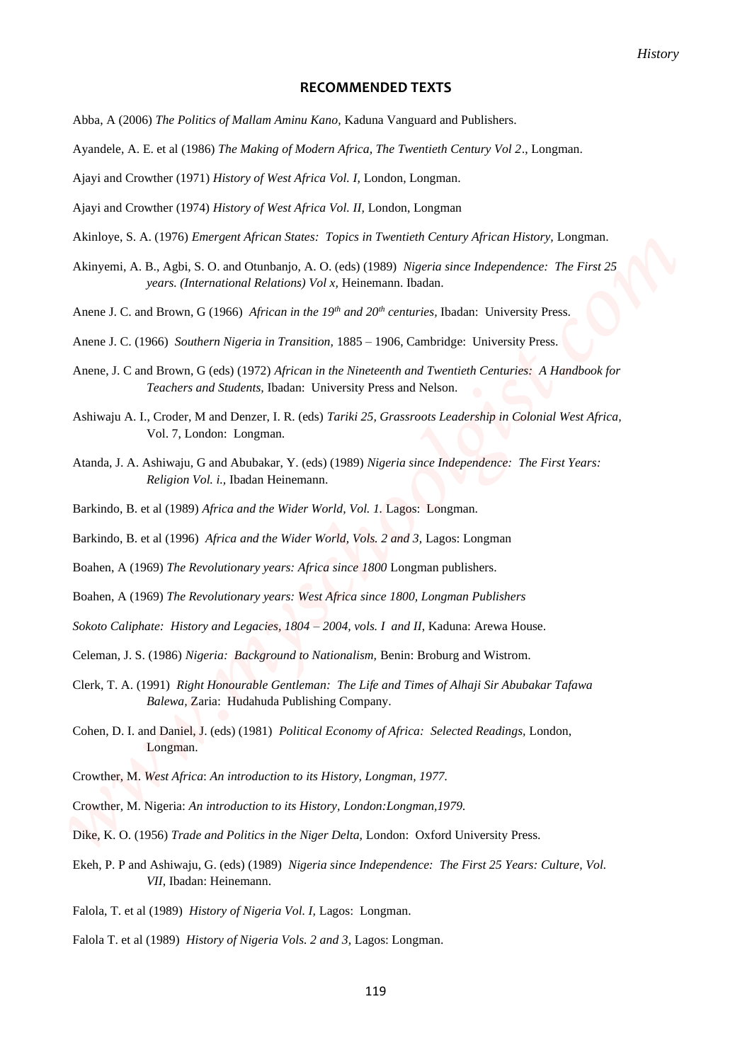#### **RECOMMENDED TEXTS**

- Abba, A (2006) *The Politics of Mallam Aminu Kano,* Kaduna Vanguard and Publishers.
- Ayandele, A. E. et al (1986) *The Making of Modern Africa, The Twentieth Century Vol 2*., Longman.
- Ajayi and Crowther (1971) *History of West Africa Vol. I,* London, Longman.
- Ajayi and Crowther (1974) *History of West Africa Vol. II,* London, Longman
- Akinloye, S. A. (1976) *Emergent African States: Topics in Twentieth Century African History,* Longman.
- Akinyemi, A. B., Agbi, S. O. and Otunbanjo, A. O. (eds) (1989) *Nigeria since Independence: The First 25 years. (International Relations) Vol x,* Heinemann. Ibadan.
- Anene J. C. and Brown, G (1966) *African in the 19th and 20th centuries,* Ibadan: University Press.
- Anene J. C. (1966) *Southern Nigeria in Transition,* 1885 1906, Cambridge: University Press.
- Anene, J. C and Brown, G (eds) (1972) *African in the Nineteenth and Twentieth Centuries: A Handbook for Teachers and Students,* Ibadan: University Press and Nelson.
- Ashiwaju A. I., Croder, M and Denzer, I. R. (eds) *Tariki 25, Grassroots Leadership in Colonial West Africa,*  Vol. 7, London: Longman. **FROMMENOED TEXTS**<br> **FROMMENOED TEXTS**<br> *Www.mysching.org/kellinn.htmln.Kime.Kime.WinderWindows.Text Common Schools Are reader for the system of the system of the system of the system of the system of the system of the sy* 
	- Atanda, J. A. Ashiwaju, G and Abubakar, Y. (eds) (1989) *Nigeria since Independence: The First Years: Religion Vol. i.,* Ibadan Heinemann.
	- Barkindo, B. et al (1989) *Africa and the Wider World, Vol. 1.* Lagos: Longman.
	- Barkindo, B. et al (1996) *Africa and the Wider World, Vols. 2 and 3,* Lagos: Longman
	- Boahen, A (1969) *The Revolutionary years: Africa since 1800* Longman publishers.
	- Boahen, A (1969) *The Revolutionary years: West Africa since 1800, Longman Publishers*
	- Sokoto Caliphate: History and Legacies, 1804 2004, vols. I and II, Kaduna: Arewa House.
	- Celeman, J. S. (1986) *Nigeria: Background to Nationalism,* Benin: Broburg and Wistrom.
	- Clerk, T. A. (1991) *Right Honourable Gentleman: The Life and Times of Alhaji Sir Abubakar Tafawa Balewa,* Zaria: Hudahuda Publishing Company.
	- Cohen, D. I. and Daniel, J. (eds) (1981) *Political Economy of Africa: Selected Readings,* London, Longman.
	- Crowther, M. *West Africa*: *An introduction to its History, Longman, 1977.*
	- Crowther, M. Nigeria: *An introduction to its History, London:Longman,1979.*
	- Dike, K. O. (1956) *Trade and Politics in the Niger Delta,* London: Oxford University Press.
	- Ekeh, P. P and Ashiwaju, G. (eds) (1989) *Nigeria since Independence: The First 25 Years: Culture, Vol. VII*, Ibadan: Heinemann.
	- Falola, T. et al (1989) *History of Nigeria Vol. I,* Lagos: Longman.
	- Falola T. et al (1989) *History of Nigeria Vols. 2 and 3,* Lagos: Longman.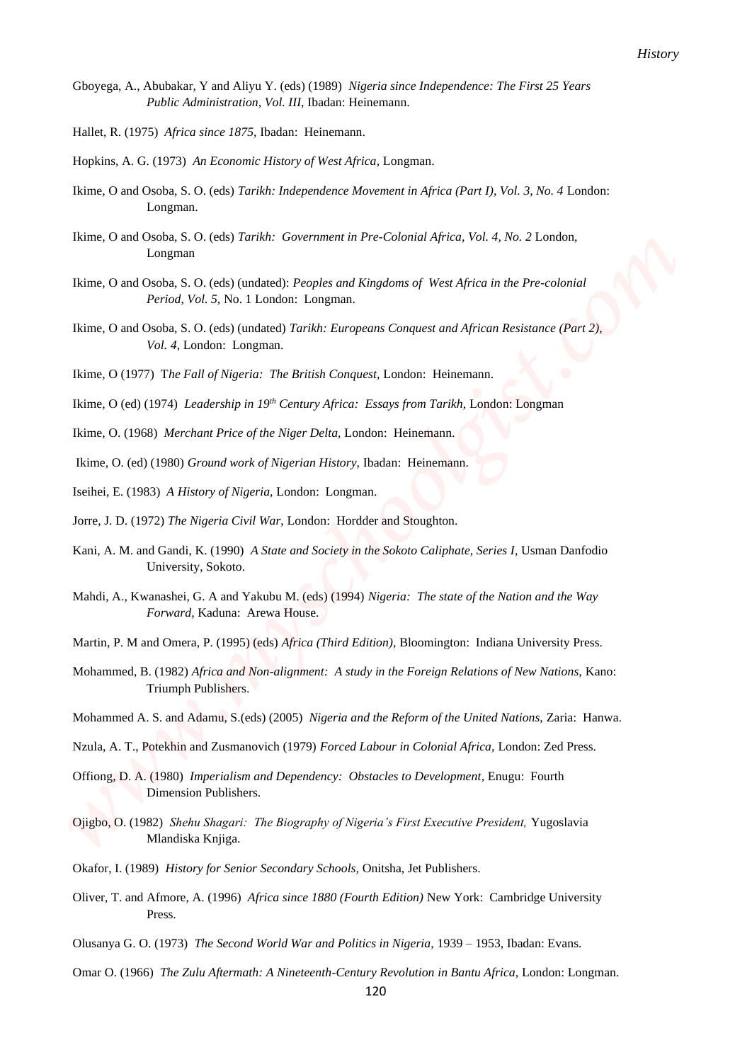- Gboyega, A., Abubakar, Y and Aliyu Y. (eds) (1989) *Nigeria since Independence: The First 25 Years Public Administration, Vol. III,* Ibadan: Heinemann.
- Hallet, R. (1975) *Africa since 1875,* Ibadan: Heinemann.
- Hopkins, A. G. (1973) *An Economic History of West Africa,* Longman.
- Ikime, O and Osoba, S. O. (eds) *Tarikh: Independence Movement in Africa (Part I), Vol. 3, No. 4* London: Longman.
- Ikime, O and Osoba, S. O. (eds) *Tarikh: Government in Pre-Colonial Africa, Vol. 4, No. 2* London, Longman
- Ikime, O and Osoba, S. O. (eds) (undated): *Peoples and Kingdoms of West Africa in the Pre-colonial Period, Vol. 5,* No. 1 London: Longman.
- Ikime, O and Osoba, S. O. (eds) (undated) *Tarikh: Europeans Conquest and African Resistance (Part 2), Vol. 4*, London: Longman. *Providence X and Allows Y, edsh (1999)*. Nigeria due had providence The First 23 Foury<br> **Weiler, (1975)**  $\pi$  Providence Mathematics Heft III. These Electroman<br> **Weiler**, (1976)  $A\phi$  is considered by the Hallows Mathem
	- Ikime, O (1977) T*he Fall of Nigeria: The British Conquest,* London: Heinemann.
	- Ikime, O (ed) (1974) *Leadership in 19th Century Africa: Essays from Tarikh,* London: Longman
	- Ikime, O. (1968) *Merchant Price of the Niger Delta,* London: Heinemann.
	- Ikime, O. (ed) (1980) *Ground work of Nigerian History,* Ibadan: Heinemann.
	- Iseihei, E. (1983) *A History of Nigeria,* London: Longman.
	- Jorre, J. D. (1972) *The Nigeria Civil War,* London: Hordder and Stoughton.
	- Kani, A. M. and Gandi, K. (1990) *A State and Society in the Sokoto Caliphate, Series I*, Usman Danfodio University, Sokoto.
	- Mahdi, A., Kwanashei, G. A and Yakubu M. (eds) (1994) *Nigeria: The state of the Nation and the Way Forward*, Kaduna: Arewa House.
	- Martin, P. M and Omera, P. (1995) (eds) *Africa (Third Edition),* Bloomington: Indiana University Press.
	- Mohammed, B. (1982) *Africa and Non-alignment: A study in the Foreign Relations of New Nations,* Kano: Triumph Publishers.
	- Mohammed A. S. and Adamu, S.(eds) (2005) *Nigeria and the Reform of the United Nations,* Zaria: Hanwa.
	- Nzula, A. T., Potekhin and Zusmanovich (1979) *Forced Labour in Colonial Africa,* London: Zed Press.
	- Offiong, D. A. (1980) *Imperialism and Dependency: Obstacles to Development,* Enugu: Fourth Dimension Publishers.
	- Ojigbo, O. (1982) *Shehu Shagari: The Biography of Nigeria's First Executive President,* Yugoslavia Mlandiska Knjiga.
	- Okafor, I. (1989) *History for Senior Secondary Schools,* Onitsha, Jet Publishers.
	- Oliver, T. and Afmore, A. (1996) *Africa since 1880 (Fourth Edition)* New York: Cambridge University Press.
	- Olusanya G. O. (1973) *The Second World War and Politics in Nigeria,* 1939 1953, Ibadan: Evans.
	- Omar O. (1966) *The Zulu Aftermath: A Nineteenth-Century Revolution in Bantu Africa,* London: Longman.